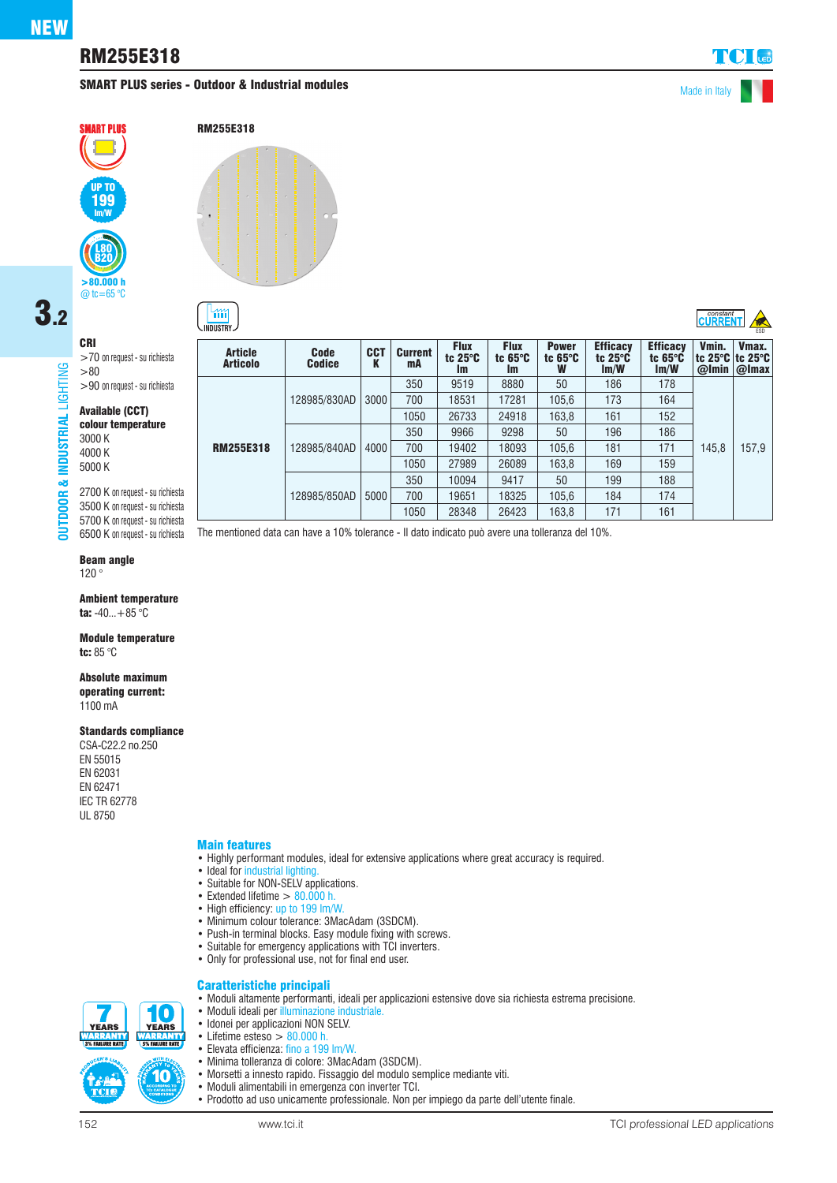# RM255E318

# SMART PLUS series - Outdoor & Industrial modules and the state of the Made in Italy







& INDUSTRIAL

**DUTDOOR** 

>70 on request - su richiesta >80 >90 on request - su richiesta

#### Available (CCT) colour temperature

3000 K 4000 K 5000 K

CRI

2700 K on request - su richiesta 3500 K on request - su richiesta 5700 K on request - su richiesta

## Beam angle

120 °

Ambient temperature ta:  $-40...+85$  °C

Module temperature tc: 85 °C

#### Absolute maximum

operating current: 1100 mA

#### Standards compliance

CSA-C22.2 no.250 EN 55015 EN 62031 EN 62471 IEC TR 62778 UL 8750

#### Main features

- Highly performant modules, ideal for extensive applications where great accuracy is required.
- Ideal for industrial lighting
- Suitable for NON-SELV applications.
- Extended lifetime  $> 80.000$  h.
- High efficiency: up to 199 lm/W.
- Minimum colour tolerance: 3MacAdam (3SDCM).
- Push-in terminal blocks. Easy module fixing with screws.
- Suitable for emergency applications with TCI inverters.
- Only for professional use, not for final end user.

• Minima tolleranza di colore: 3MacAdam (3SDCM).

• Moduli alimentabili in emergenza con inverter TCI.

• Morsetti a innesto rapido. Fissaggio del modulo semplice mediante viti.

• Prodotto ad uso unicamente professionale. Non per impiego da parte dell'utente finale.

• Moduli ideali per illuminazione industriale. • Idonei per applicazioni NON SELV. • Lifetime esteso  $> 80.000$  h.<br>• Elevata efficienza: fino a 199 • Elevata efficienza: fino a 199 lm/W.

### Caratteristiche principali • Moduli altamente performanti, ideali per applicazioni estensive dove sia richiesta estrema precisione.

íO **YEARS YEARS SAN REAL PROPERTY SENET STATE** 10

| <b>Article</b><br><b>Articolo</b> | <b>Code</b><br><b>Codice</b> | <b>CCT</b><br>K | <b>Current</b><br>mA | <b>Flux</b><br>tc $25^\circ C$<br><b>Im</b> | <b>Flux</b><br>tc $65^\circ C$<br>Im. | <b>Power</b><br>tc $65^\circ$ C<br>w | <b>Efficacy</b><br>tc $25^\circ$ C<br>Im/W | <b>Efficacy</b><br>tc $65^\circ$ C<br>Im/W | Vmin.<br>  tc 25°C   tc 25°C<br>@Imin | Vmax.<br>$Q$ Imax |
|-----------------------------------|------------------------------|-----------------|----------------------|---------------------------------------------|---------------------------------------|--------------------------------------|--------------------------------------------|--------------------------------------------|---------------------------------------|-------------------|
| <b>RM255E318</b>                  | 128985/830AD                 | 3000            | 350                  | 9519                                        | 8880                                  | 50                                   | 186                                        | 178                                        |                                       |                   |
|                                   |                              |                 | 700                  | 18531                                       | 17281                                 | 105.6                                | 173                                        | 164                                        |                                       |                   |
|                                   |                              |                 | 1050                 | 26733                                       | 24918                                 | 163.8                                | 161                                        | 152                                        |                                       |                   |
|                                   | 128985/840AD                 | 4000            | 350                  | 9966                                        | 9298                                  | 50                                   | 196                                        | 186                                        | 145.8                                 | 157.9             |
|                                   |                              |                 | 700                  | 19402                                       | 18093                                 | 105.6                                | 181                                        | 171                                        |                                       |                   |
|                                   |                              |                 | 1050                 | 27989                                       | 26089                                 | 163.8                                | 169                                        | 159                                        |                                       |                   |
|                                   | 128985/850AD                 | 5000            | 350                  | 10094                                       | 9417                                  | 50                                   | 199                                        | 188                                        |                                       |                   |
|                                   |                              |                 | 700                  | 19651                                       | 18325                                 | 105.6                                | 184                                        | 174                                        |                                       |                   |
|                                   |                              |                 | 1050                 | 28348                                       | 26423                                 | 163,8                                | 171                                        | 161                                        |                                       |                   |
|                                   |                              |                 |                      |                                             |                                       |                                      |                                            |                                            |                                       |                   |

6500 K on request - su richiesta The mentioned data can have a 10% tolerance - Il dato indicato può avere una tolleranza del 10%.

 $\overline{\text{C}^{\text{constant}}$   $\rightarrow$ **INDUSTRY**  $\rightarrow$  ESD